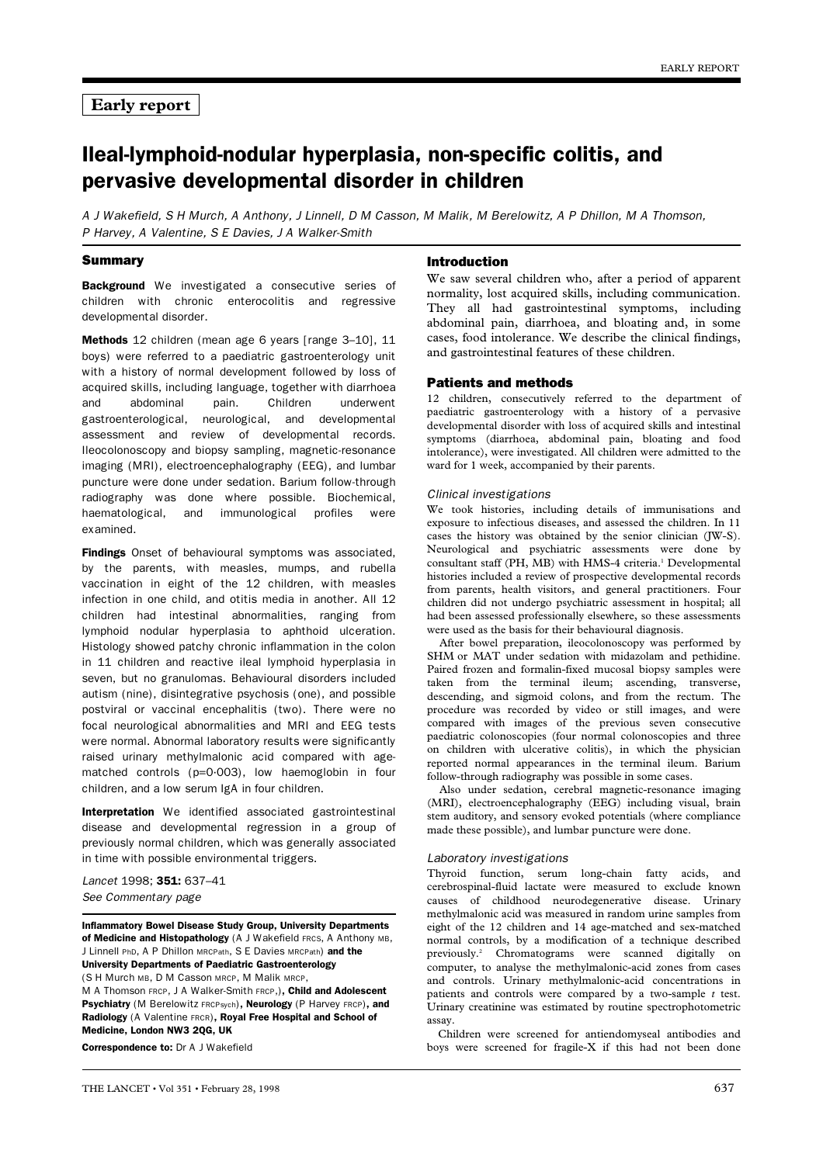## **Early report**

# Ileal-lymphoid-nodular hyperplasia, non-specific colitis, and pervasive developmental disorder in children

A J Wakefield, S H Murch, A Anthony, J Linnell, D M Casson, M Malik, M Berelowitz, A P Dhillon, M A Thomson, P Harvey, A Valentine, S E Davies, J A Walker-Smith

## **Summary**

**Background** We investigated a consecutive series of children with chronic enterocolitis and regressive developmental disorder.

Methods 12 children (mean age 6 years [range 3–10], 11 boys) were referred to a paediatric gastroenterology unit with a history of normal development followed by loss of acquired skills, including language, together with diarrhoea and abdominal pain. Children underwent gastroenterological, neurological, and developmental assessment and review of developmental records. Ileocolonoscopy and biopsy sampling, magnetic-resonance imaging (MRI), electroencephalography (EEG), and lumbar puncture were done under sedation. Barium follow-through radiography was done where possible. Biochemical, haematological, and immunological profiles were examined.

Findings Onset of behavioural symptoms was associated, by the parents, with measles, mumps, and rubella vaccination in eight of the 12 children, with measles infection in one child, and otitis media in another. All 12 children had intestinal abnormalities, ranging from lymphoid nodular hyperplasia to aphthoid ulceration. Histology showed patchy chronic inflammation in the colon in 11 children and reactive ileal lymphoid hyperplasia in seven, but no granulomas. Behavioural disorders included autism (nine), disintegrative psychosis (one), and possible postviral or vaccinal encephalitis (two). There were no focal neurological abnormalities and MRI and EEG tests were normal. Abnormal laboratory results were significantly raised urinary methylmalonic acid compared with agematched controls (p=0·003), low haemoglobin in four children, and a low serum IgA in four children.

Interpretation We identified associated gastrointestinal disease and developmental regression in a group of previously normal children, which was generally associated in time with possible environmental triggers.

Lancet 1998; 351: 637-41 See Commentary page

Inflammatory Bowel Disease Study Group, University Departments of Medicine and Histopathology (A J Wakefield FRCS, A Anthony MB, J Linnell PhD, A P Dhillon MRCPath, S E Davies MRCPath) and the University Departments of Paediatric Gastroenterology (S H Murch MB, D M Casson MRCP, M Malik MRCP, M A Thomson FRCP, J A Walker-Smith FRCP,), Child and Adolescent Psychiatry (M Berelowitz FRCPsych), Neurology (P Harvey FRCP), and Radiology (A Valentine FRCR), Royal Free Hospital and School of Medicine, London NW3 2QG, UK

Correspondence to: Dr A J Wakefield

## Introduction

We saw several children who, after a period of apparent normality, lost acquired skills, including communication. They all had gastrointestinal symptoms, including abdominal pain, diarrhoea, and bloating and, in some cases, food intolerance. We describe the clinical findings, and gastrointestinal features of these children.

## Patients and methods

12 children, consecutively referred to the department of paediatric gastroenterology with a history of a pervasive developmental disorder with loss of acquired skills and intestinal symptoms (diarrhoea, abdominal pain, bloating and food intolerance), were investigated. All children were admitted to the ward for 1 week, accompanied by their parents.

#### Clinical investigations

We took histories, including details of immunisations and exposure to infectious diseases, and assessed the children. In 11 cases the history was obtained by the senior clinician (JW-S). Neurological and psychiatric assessments were done by consultant staff (PH, MB) with HMS-4 criteria.<sup>1</sup> Developmental histories included a review of prospective developmental records from parents, health visitors, and general practitioners. Four children did not undergo psychiatric assessment in hospital; all had been assessed professionally elsewhere, so these assessments were used as the basis for their behavioural diagnosis.

After bowel preparation, ileocolonoscopy was performed by SHM or MAT under sedation with midazolam and pethidine. Paired frozen and formalin-fixed mucosal biopsy samples were taken from the terminal ileum; ascending, transverse, descending, and sigmoid colons, and from the rectum. The procedure was recorded by video or still images, and were compared with images of the previous seven consecutive paediatric colonoscopies (four normal colonoscopies and three on children with ulcerative colitis), in which the physician reported normal appearances in the terminal ileum. Barium follow-through radiography was possible in some cases.

Also under sedation, cerebral magnetic-resonance imaging (MRI), electroencephalography (EEG) including visual, brain stem auditory, and sensory evoked potentials (where compliance made these possible), and lumbar puncture were done.

## Laboratory investigations

Thyroid function, serum long-chain fatty acids, and cerebrospinal-fluid lactate were measured to exclude known causes of childhood neurodegenerative disease. Urinary methylmalonic acid was measured in random urine samples from eight of the 12 children and 14 age-matched and sex-matched normal controls, by a modification of a technique described previously.2 Chromatograms were scanned digitally on computer, to analyse the methylmalonic-acid zones from cases and controls. Urinary methylmalonic-acid concentrations in patients and controls were compared by a two-sample *t* test. Urinary creatinine was estimated by routine spectrophotometric assay.

Children were screened for antiendomyseal antibodies and boys were screened for fragile-X if this had not been done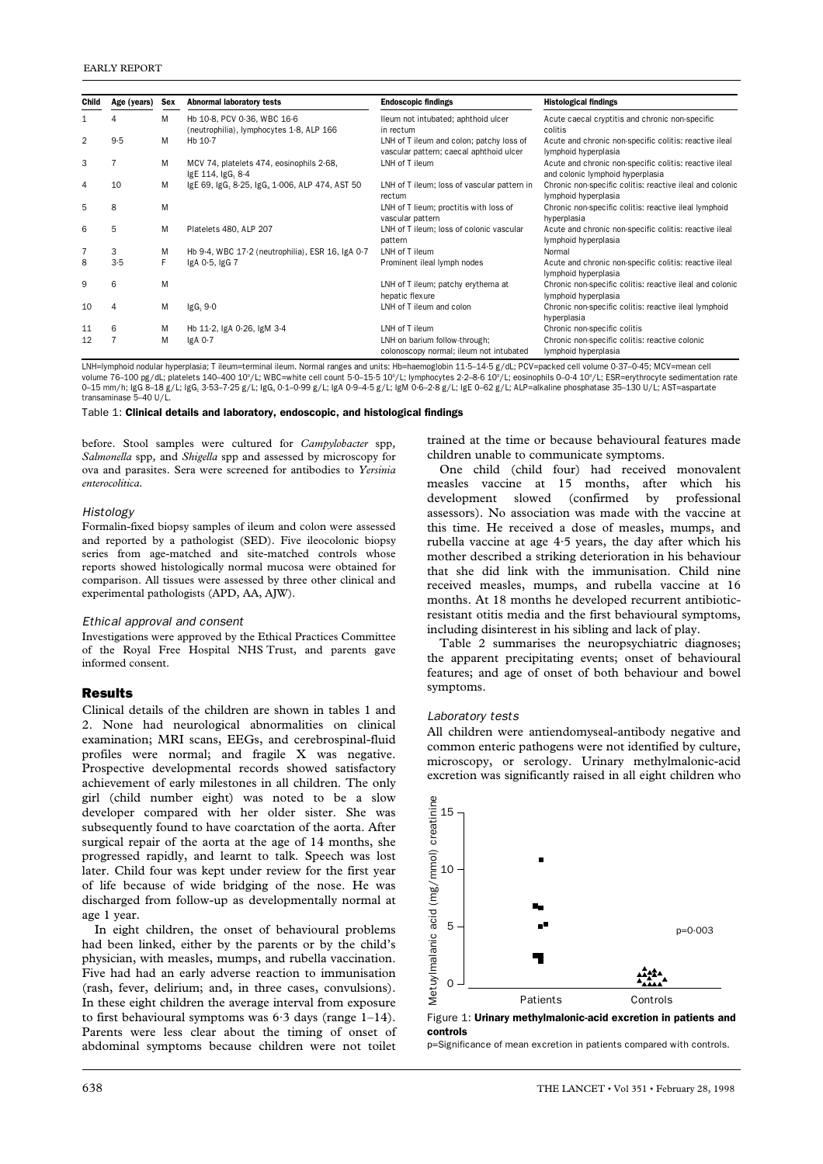| Child          | Age (years) | <b>Sex</b> | Abnormal laboratory tests                                               | <b>Endoscopic findings</b>                                                          | <b>Histological findings</b>                                                               |  |  |
|----------------|-------------|------------|-------------------------------------------------------------------------|-------------------------------------------------------------------------------------|--------------------------------------------------------------------------------------------|--|--|
|                |             | Μ          | Hb 10-8, PCV 0-36, WBC 16-6<br>(neutrophilia), lymphocytes 1.8, ALP 166 | Ileum not intubated; aphthoid ulcer<br>in rectum                                    | Acute caecal cryptitis and chronic non-specific<br>colitis                                 |  |  |
| 2              | $9-5$       | Μ          | Hb $10-7$                                                               | LNH of T ileum and colon; patchy loss of<br>vascular pattern; caecal aphthoid ulcer | Acute and chronic non-specific colitis: reactive ileal<br>lymphoid hyperplasia             |  |  |
| 3              |             | M          | MCV 74, platelets 474, eosinophils 2.68,<br>IgE 114, IgG, 8-4           | LNH of T ileum                                                                      | Acute and chronic non-specific colitis: reactive ileal<br>and colonic lymphoid hyperplasia |  |  |
| $\overline{4}$ | 10          | Μ          | IgE 69, IgG, 8-25, IgG, 1-006, ALP 474, AST 50                          | LNH of T ileum; loss of vascular pattern in<br>rectum                               | Chronic non-specific colitis: reactive ileal and colonic<br>lymphoid hyperplasia           |  |  |
| 5              | 8           | M          |                                                                         | LNH of T lieum; proctitis with loss of<br>vascular pattern                          | Chronic non-specific colitis: reactive ileal lymphoid<br>hyperplasia                       |  |  |
| 6              | 5           | M          | Platelets 480, ALP 207                                                  | LNH of T ileum; loss of colonic vascular<br>pattern                                 | Acute and chronic non-specific colitis: reactive ileal<br>lymphoid hyperplasia             |  |  |
| 7              | 3           | Μ          | Hb 9-4, WBC 17-2 (neutrophilia), ESR 16, IgA 0-7                        | LNH of T ileum                                                                      | Normal                                                                                     |  |  |
| 8              | 3.5         | F          | IgA 0-5, IgG 7                                                          | Prominent ileal lymph nodes                                                         | Acute and chronic non-specific colitis: reactive ileal<br>lymphoid hyperplasia             |  |  |
| 9              | 6           | M          |                                                                         | LNH of T ileum; patchy erythema at<br>hepatic flexure                               | Chronic non-specific colitis: reactive ileal and colonic<br>lymphoid hyperplasia           |  |  |
| 10             | 4           | M          | $lgG_1 90$                                                              | LNH of T ileum and colon                                                            | Chronic non-specific colitis: reactive ileal lymphoid<br>hyperplasia                       |  |  |
| 11             | 6           | M          | Hb 11-2, IgA 0-26, IgM 3-4                                              | LNH of T ileum                                                                      | Chronic non-specific colitis                                                               |  |  |
| 12             |             | M          | IgA 0-7                                                                 | LNH on barium follow-through;<br>colonoscopy normal; ileum not intubated            | Chronic non-specific colitis: reactive colonic<br>lymphoid hyperplasia                     |  |  |

LNH=lymphoid nodular hyperplasia; T ileum=terminal ileum. Normal ranges and units: Hb=haemoglobin 11·5–14·5 g/dL; PCV=packed cell volume 0·37–0·45; MCV=mean cell volume 76–100 pg/dL; platelets 140–400 10°/L; WBC=white cell count 5·0–15·5 10°/L; lymphocytes 2·2–8·6 10°/L; eosinophils 0–0·4 10°/L; ESR=erythrocyte sedimentation rate 0–15 mm/h; IgG 8–18 g/L; IgG, 3·53–7·25 g/L; IgG, 0·1–0·99 g/L; IgA 0·9–4·5 g/L; IgM 0·6–2·8 g/L; IgE 0–62 g/L; ALP=alkaline phosphatase 35–130 U/L; AST=aspartate transaminase 5–40 U/L.

Table 1: Clinical details and laboratory, endoscopic, and histological findings

before. Stool samples were cultured for *Campylobacter* spp*, Salmonella* spp*,* and *Shigella* spp and assessed by microscopy for ova and parasites. Sera were screened for antibodies to *Yersinia enterocolitica.*

#### Histology

Formalin-fixed biopsy samples of ileum and colon were assessed and reported by a pathologist (SED). Five ileocolonic biopsy series from age-matched and site-matched controls whose reports showed histologically normal mucosa were obtained for comparison. All tissues were assessed by three other clinical and experimental pathologists (APD, AA, AJW).

#### Ethical approval and consent

Investigations were approved by the Ethical Practices Committee of the Royal Free Hospital NHS Trust, and parents gave informed consent.

## Results

Clinical details of the children are shown in tables 1 and 2. None had neurological abnormalities on clinical examination; MRI scans, EEGs, and cerebrospinal-fluid profiles were normal; and fragile X was negative. Prospective developmental records showed satisfactory achievement of early milestones in all children. The only girl (child number eight) was noted to be a slow developer compared with her older sister. She was subsequently found to have coarctation of the aorta. After surgical repair of the aorta at the age of 14 months, she progressed rapidly, and learnt to talk. Speech was lost later. Child four was kept under review for the first year of life because of wide bridging of the nose. He was discharged from follow-up as developmentally normal at age 1 year.

In eight children, the onset of behavioural problems had been linked, either by the parents or by the child's physician, with measles, mumps, and rubella vaccination. Five had had an early adverse reaction to immunisation (rash, fever, delirium; and, in three cases, convulsions). In these eight children the average interval from exposure to first behavioural symptoms was  $6.3$  days (range  $1-14$ ). Parents were less clear about the timing of onset of abdominal symptoms because children were not toilet

trained at the time or because behavioural features made children unable to communicate symptoms.

One child (child four) had received monovalent measles vaccine at 15 months, after which his development slowed (confirmed by professional assessors). No association was made with the vaccine at this time. He received a dose of measles, mumps, and rubella vaccine at age 4·5 years, the day after which his mother described a striking deterioration in his behaviour that she did link with the immunisation. Child nine received measles, mumps, and rubella vaccine at 16 months. At 18 months he developed recurrent antibioticresistant otitis media and the first behavioural symptoms, including disinterest in his sibling and lack of play.

Table 2 summarises the neuropsychiatric diagnoses; the apparent precipitating events; onset of behavioural features; and age of onset of both behaviour and bowel symptoms.

#### Laboratory tests

All children were antiendomyseal-antibody negative and common enteric pathogens were not identified by culture, microscopy, or serology. Urinary methylmalonic-acid excretion was significantly raised in all eight children who



Figure 1: Urinary methylmalonic-acid excretion in patients and controls

p=Significance of mean excretion in patients compared with controls.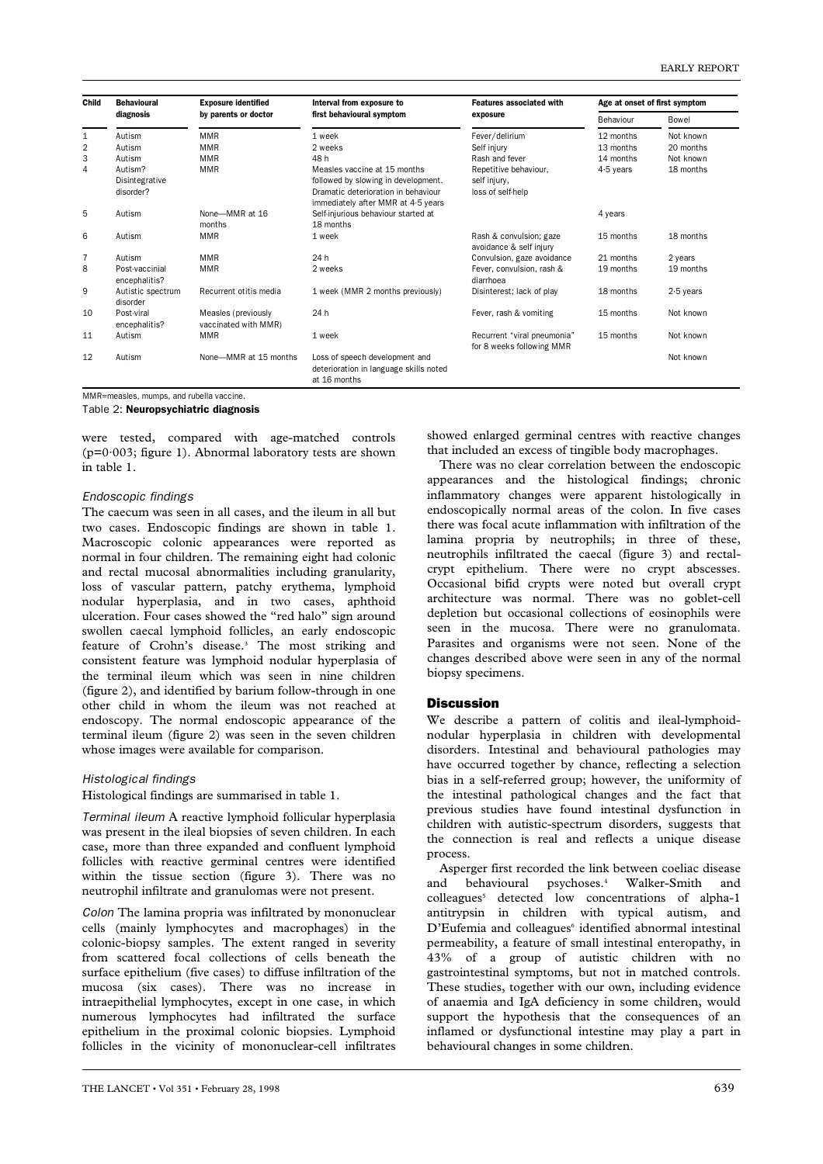| Child          | <b>Behavioural</b>              | <b>Exposure identified</b> | Interval from exposure to                                                                | <b>Features associated with</b>                          | Age at onset of first symptom |             |
|----------------|---------------------------------|----------------------------|------------------------------------------------------------------------------------------|----------------------------------------------------------|-------------------------------|-------------|
|                | diagnosis                       | by parents or doctor       | first behavioural symptom                                                                | exposure                                                 | Behaviour                     | Bowel       |
| 1              | Autism                          | <b>MMR</b>                 | 1 week                                                                                   | Fever/delirium                                           | 12 months                     | Not known   |
| 2              | Autism                          | <b>MMR</b>                 | 2 weeks                                                                                  | Self injury                                              | 13 months                     | 20 months   |
| 3              | Autism                          | <b>MMR</b>                 | 48 h                                                                                     | Rash and fever                                           | 14 months                     | Not known   |
| 4              | Autism?                         | <b>MMR</b>                 | Measles vaccine at 15 months                                                             | Repetitive behaviour,                                    | 4.5 years                     | 18 months   |
|                | Disintegrative                  |                            | followed by slowing in development.                                                      | self injury,                                             |                               |             |
|                | disorder?                       |                            | Dramatic deterioration in behaviour<br>immediately after MMR at 4-5 years                | loss of self-help                                        |                               |             |
| 5              | Autism                          | None-MMR at 16             | Self-injurious behaviour started at                                                      |                                                          | 4 years                       |             |
|                |                                 | months                     | 18 months                                                                                |                                                          |                               |             |
| 6              | Autism                          | <b>MMR</b>                 | 1 week                                                                                   | Rash & convulsion; gaze<br>avoidance & self injury       | 15 months                     | 18 months   |
| $\overline{7}$ | Autism                          | <b>MMR</b>                 | 24 h                                                                                     | Convulsion, gaze avoidance                               | 21 months                     | 2 years     |
| 8              | Post-vaccinial<br>encephalitis? | <b>MMR</b>                 | 2 weeks                                                                                  | Fever, convulsion, rash &<br>diarrhoea                   | 19 months                     | 19 months   |
| 9              | Autistic spectrum<br>disorder   | Recurrent otitis media     | 1 week (MMR 2 months previously)                                                         | Disinterest; lack of play                                | 18 months                     | $2.5$ years |
| 10             | Post-viral                      | Measles (previously        | 24 h                                                                                     | Fever, rash & vomiting                                   | 15 months                     | Not known   |
|                | encephalitis?                   | vaccinated with MMR)       |                                                                                          |                                                          |                               |             |
| 11             | Autism                          | <b>MMR</b>                 | 1 week                                                                                   | Recurrent "viral pneumonia"<br>for 8 weeks following MMR | 15 months                     | Not known   |
| 12             | Autism                          | None-MMR at 15 months      | Loss of speech development and<br>deterioration in language skills noted<br>at 16 months |                                                          |                               | Not known   |

MMR=measles, mumps, and rubella vaccine.

Table 2: Neuropsychiatric diagnosis

were tested, compared with age-matched controls (p=0·003; figure 1). Abnormal laboratory tests are shown in table 1.

## Endoscopic findings

The caecum was seen in all cases, and the ileum in all but two cases. Endoscopic findings are shown in table 1. Macroscopic colonic appearances were reported as normal in four children. The remaining eight had colonic and rectal mucosal abnormalities including granularity, loss of vascular pattern, patchy erythema, lymphoid nodular hyperplasia, and in two cases, aphthoid ulceration. Four cases showed the "red halo" sign around swollen caecal lymphoid follicles, an early endoscopic feature of Crohn's disease.<sup>3</sup> The most striking and consistent feature was lymphoid nodular hyperplasia of the terminal ileum which was seen in nine children (figure 2), and identified by barium follow-through in one other child in whom the ileum was not reached at endoscopy. The normal endoscopic appearance of the terminal ileum (figure 2) was seen in the seven children whose images were available for comparison.

## Histological findings

Histological findings are summarised in table 1.

Terminal ileum A reactive lymphoid follicular hyperplasia was present in the ileal biopsies of seven children. In each case, more than three expanded and confluent lymphoid follicles with reactive germinal centres were identified within the tissue section (figure 3). There was no neutrophil infiltrate and granulomas were not present.

Colon The lamina propria was infiltrated by mononuclear cells (mainly lymphocytes and macrophages) in the colonic-biopsy samples. The extent ranged in severity from scattered focal collections of cells beneath the surface epithelium (five cases) to diffuse infiltration of the mucosa (six cases). There was no increase in intraepithelial lymphocytes, except in one case, in which numerous lymphocytes had infiltrated the surface epithelium in the proximal colonic biopsies. Lymphoid follicles in the vicinity of mononuclear-cell infiltrates showed enlarged germinal centres with reactive changes that included an excess of tingible body macrophages.

There was no clear correlation between the endoscopic appearances and the histological findings; chronic inflammatory changes were apparent histologically in endoscopically normal areas of the colon. In five cases there was focal acute inflammation with infiltration of the lamina propria by neutrophils; in three of these, neutrophils infiltrated the caecal (figure 3) and rectalcrypt epithelium. There were no crypt abscesses. Occasional bifid crypts were noted but overall crypt architecture was normal. There was no goblet-cell depletion but occasional collections of eosinophils were seen in the mucosa. There were no granulomata. Parasites and organisms were not seen. None of the changes described above were seen in any of the normal biopsy specimens.

## **Discussion**

We describe a pattern of colitis and ileal-lymphoidnodular hyperplasia in children with developmental disorders. Intestinal and behavioural pathologies may have occurred together by chance, reflecting a selection bias in a self-referred group; however, the uniformity of the intestinal pathological changes and the fact that previous studies have found intestinal dysfunction in children with autistic-spectrum disorders, suggests that the connection is real and reflects a unique disease process.

Asperger first recorded the link between coeliac disease and behavioural psychoses.4 Walker-Smith and colleagues<sup>5</sup> detected low concentrations of alpha-1 antitrypsin in children with typical autism, and D'Eufemia and colleagues<sup>6</sup> identified abnormal intestinal permeability, a feature of small intestinal enteropathy, in 43% of a group of autistic children with no gastrointestinal symptoms, but not in matched controls. These studies, together with our own, including evidence of anaemia and IgA deficiency in some children, would support the hypothesis that the consequences of an inflamed or dysfunctional intestine may play a part in behavioural changes in some children.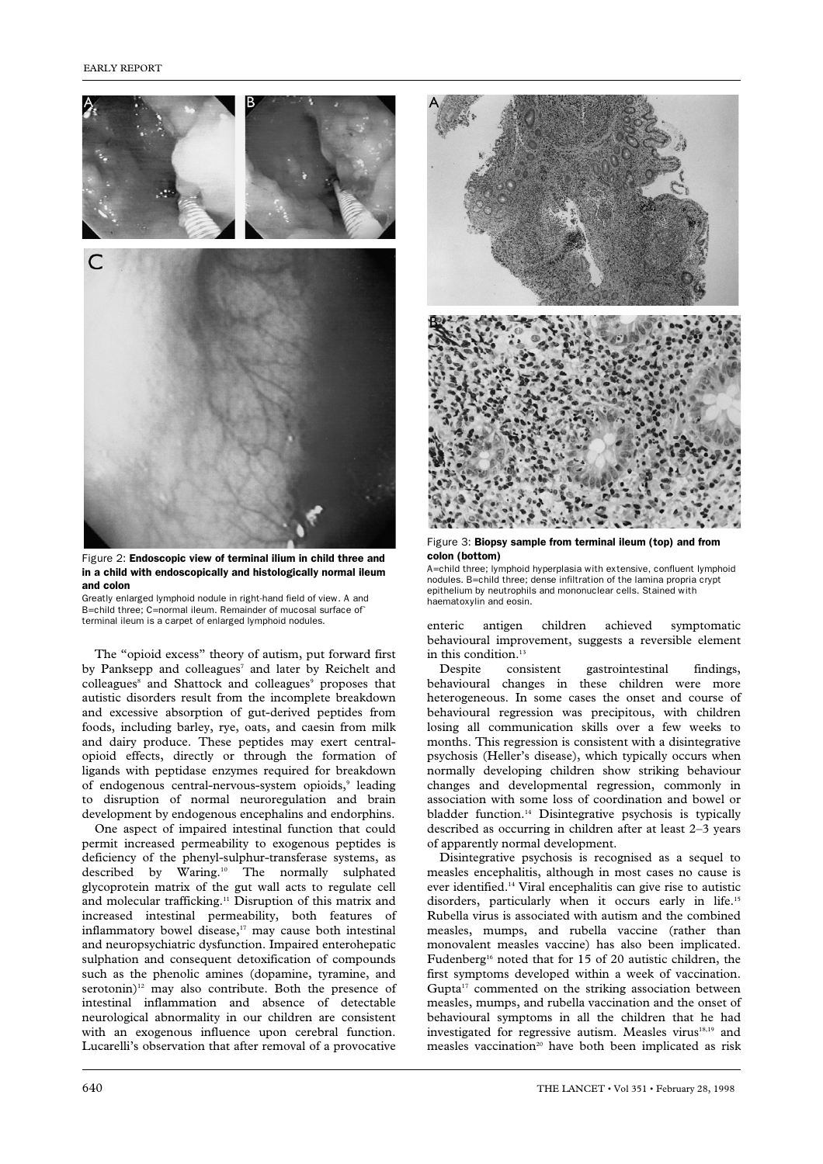

Figure 2: Endoscopic view of terminal ilium in child three and in a child with endoscopically and histologically normal ileum and colon

Greatly enlarged lymphoid nodule in right-hand field of view. A and B=child three; C=normal ileum. Remainder of mucosal surface of` terminal ileum is a carpet of enlarged lymphoid nodules.

The "opioid excess" theory of autism, put forward first by Panksepp and colleagues<sup>7</sup> and later by Reichelt and colleagues<sup>8</sup> and Shattock and colleagues<sup>9</sup> proposes that autistic disorders result from the incomplete breakdown and excessive absorption of gut-derived peptides from foods, including barley, rye, oats, and caesin from milk and dairy produce. These peptides may exert centralopioid effects, directly or through the formation of ligands with peptidase enzymes required for breakdown of endogenous central-nervous-system opioids,<sup>9</sup> leading to disruption of normal neuroregulation and brain development by endogenous encephalins and endorphins.

One aspect of impaired intestinal function that could permit increased permeability to exogenous peptides is deficiency of the phenyl-sulphur-transferase systems, as described by Waring.10 The normally sulphated glycoprotein matrix of the gut wall acts to regulate cell and molecular trafficking.<sup>11</sup> Disruption of this matrix and increased intestinal permeability, both features of inflammatory bowel disease,<sup>17</sup> may cause both intestinal and neuropsychiatric dysfunction. Impaired enterohepatic sulphation and consequent detoxification of compounds such as the phenolic amines (dopamine, tyramine, and serotonin)<sup>12</sup> may also contribute. Both the presence of intestinal inflammation and absence of detectable neurological abnormality in our children are consistent with an exogenous influence upon cerebral function. Lucarelli's observation that after removal of a provocative



Figure 3: Biopsy sample from terminal ileum (top) and from colon (bottom)

A=child three; lymphoid hyperplasia with extensive, confluent lymphoid nodules. B=child three; dense infiltration of the lamina propria crypt epithelium by neutrophils and mononuclear cells. Stained with haematoxylin and eosin.

enteric antigen children achieved symptomatic behavioural improvement, suggests a reversible element in this condition.<sup>13</sup>

Despite consistent gastrointestinal findings, behavioural changes in these children were more heterogeneous. In some cases the onset and course of behavioural regression was precipitous, with children losing all communication skills over a few weeks to months. This regression is consistent with a disintegrative psychosis (Heller's disease), which typically occurs when normally developing children show striking behaviour changes and developmental regression, commonly in association with some loss of coordination and bowel or bladder function.14 Disintegrative psychosis is typically described as occurring in children after at least 2–3 years of apparently normal development.

Disintegrative psychosis is recognised as a sequel to measles encephalitis, although in most cases no cause is ever identified.14 Viral encephalitis can give rise to autistic disorders, particularly when it occurs early in life.15 Rubella virus is associated with autism and the combined measles, mumps, and rubella vaccine (rather than monovalent measles vaccine) has also been implicated. Fudenberg<sup>16</sup> noted that for 15 of 20 autistic children, the first symptoms developed within a week of vaccination. Gupta<sup>17</sup> commented on the striking association between measles, mumps, and rubella vaccination and the onset of behavioural symptoms in all the children that he had investigated for regressive autism. Measles virus<sup>18,19</sup> and measles vaccination<sup>20</sup> have both been implicated as risk